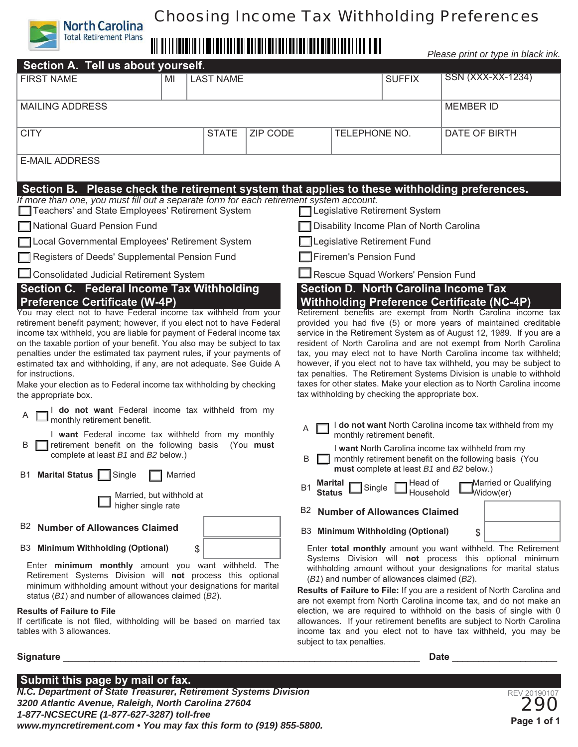# Choosing Income Tax Withholding Preferences

# 

*Please print or type in black ink.*

| <i>i</i> icasc print or type in black lin.                                                                                                                                                                                                                                                                                                                                                                                                                                                                                                                                                                                                                                                                                                                                                                                                                      |    |                  |                 |                                                                                                                                                                                                                                                                                                                                                                                                                                                                                                                                                                                                                                                                                                                                                                                          |                                                                                                               |                                          |               |                   |  |
|-----------------------------------------------------------------------------------------------------------------------------------------------------------------------------------------------------------------------------------------------------------------------------------------------------------------------------------------------------------------------------------------------------------------------------------------------------------------------------------------------------------------------------------------------------------------------------------------------------------------------------------------------------------------------------------------------------------------------------------------------------------------------------------------------------------------------------------------------------------------|----|------------------|-----------------|------------------------------------------------------------------------------------------------------------------------------------------------------------------------------------------------------------------------------------------------------------------------------------------------------------------------------------------------------------------------------------------------------------------------------------------------------------------------------------------------------------------------------------------------------------------------------------------------------------------------------------------------------------------------------------------------------------------------------------------------------------------------------------------|---------------------------------------------------------------------------------------------------------------|------------------------------------------|---------------|-------------------|--|
| Section A. Tell us about yourself.                                                                                                                                                                                                                                                                                                                                                                                                                                                                                                                                                                                                                                                                                                                                                                                                                              |    |                  |                 |                                                                                                                                                                                                                                                                                                                                                                                                                                                                                                                                                                                                                                                                                                                                                                                          |                                                                                                               |                                          |               |                   |  |
| <b>FIRST NAME</b>                                                                                                                                                                                                                                                                                                                                                                                                                                                                                                                                                                                                                                                                                                                                                                                                                                               | MI | <b>LAST NAME</b> |                 |                                                                                                                                                                                                                                                                                                                                                                                                                                                                                                                                                                                                                                                                                                                                                                                          |                                                                                                               | <b>SUFFIX</b>                            |               | SSN (XXX-XX-1234) |  |
| <b>MAILING ADDRESS</b>                                                                                                                                                                                                                                                                                                                                                                                                                                                                                                                                                                                                                                                                                                                                                                                                                                          |    |                  |                 |                                                                                                                                                                                                                                                                                                                                                                                                                                                                                                                                                                                                                                                                                                                                                                                          | <b>MEMBER ID</b>                                                                                              |                                          |               |                   |  |
| <b>CITY</b>                                                                                                                                                                                                                                                                                                                                                                                                                                                                                                                                                                                                                                                                                                                                                                                                                                                     |    | <b>STATE</b>     | <b>ZIP CODE</b> |                                                                                                                                                                                                                                                                                                                                                                                                                                                                                                                                                                                                                                                                                                                                                                                          | TELEPHONE NO.                                                                                                 |                                          | DATE OF BIRTH |                   |  |
| <b>E-MAIL ADDRESS</b>                                                                                                                                                                                                                                                                                                                                                                                                                                                                                                                                                                                                                                                                                                                                                                                                                                           |    |                  |                 |                                                                                                                                                                                                                                                                                                                                                                                                                                                                                                                                                                                                                                                                                                                                                                                          |                                                                                                               |                                          |               |                   |  |
| Section B. Please check the retirement system that applies to these withholding preferences.                                                                                                                                                                                                                                                                                                                                                                                                                                                                                                                                                                                                                                                                                                                                                                    |    |                  |                 |                                                                                                                                                                                                                                                                                                                                                                                                                                                                                                                                                                                                                                                                                                                                                                                          |                                                                                                               |                                          |               |                   |  |
| If more than one, you must fill out a separate form for each retirement system account.<br>Teachers' and State Employees' Retirement System<br><b>T</b> Legislative Retirement System                                                                                                                                                                                                                                                                                                                                                                                                                                                                                                                                                                                                                                                                           |    |                  |                 |                                                                                                                                                                                                                                                                                                                                                                                                                                                                                                                                                                                                                                                                                                                                                                                          |                                                                                                               |                                          |               |                   |  |
| National Guard Pension Fund                                                                                                                                                                                                                                                                                                                                                                                                                                                                                                                                                                                                                                                                                                                                                                                                                                     |    |                  |                 |                                                                                                                                                                                                                                                                                                                                                                                                                                                                                                                                                                                                                                                                                                                                                                                          | Disability Income Plan of North Carolina                                                                      |                                          |               |                   |  |
| Local Governmental Employees' Retirement System                                                                                                                                                                                                                                                                                                                                                                                                                                                                                                                                                                                                                                                                                                                                                                                                                 |    |                  |                 | Legislative Retirement Fund                                                                                                                                                                                                                                                                                                                                                                                                                                                                                                                                                                                                                                                                                                                                                              |                                                                                                               |                                          |               |                   |  |
| Registers of Deeds' Supplemental Pension Fund                                                                                                                                                                                                                                                                                                                                                                                                                                                                                                                                                                                                                                                                                                                                                                                                                   |    |                  |                 |                                                                                                                                                                                                                                                                                                                                                                                                                                                                                                                                                                                                                                                                                                                                                                                          | Firemen's Pension Fund                                                                                        |                                          |               |                   |  |
| Consolidated Judicial Retirement System                                                                                                                                                                                                                                                                                                                                                                                                                                                                                                                                                                                                                                                                                                                                                                                                                         |    |                  |                 |                                                                                                                                                                                                                                                                                                                                                                                                                                                                                                                                                                                                                                                                                                                                                                                          | Rescue Squad Workers' Pension Fund                                                                            |                                          |               |                   |  |
| Section C. Federal Income Tax Withholding<br><b>Preference Certificate (W-4P)</b><br>You may elect not to have Federal income tax withheld from your<br>retirement benefit payment; however, if you elect not to have Federal<br>income tax withheld, you are liable for payment of Federal income tax<br>on the taxable portion of your benefit. You also may be subject to tax<br>penalties under the estimated tax payment rules, if your payments of<br>estimated tax and withholding, if any, are not adequate. See Guide A<br>for instructions.<br>Make your election as to Federal income tax withholding by checking<br>the appropriate box.<br>I do not want Federal income tax withheld from my<br>I monthly retirement benefit.<br>I want Federal income tax withheld from my monthly<br>retirement benefit on the following basis<br>(You must<br>B |    |                  |                 | <b>Withholding Preference Certificate (NC-4P)</b><br>Retirement benefits are exempt from North Carolina income tax<br>provided you had five (5) or more years of maintained creditable<br>service in the Retirement System as of August 12, 1989. If you are a<br>resident of North Carolina and are not exempt from North Carolina<br>tax, you may elect not to have North Carolina income tax withheld;<br>however, if you elect not to have tax withheld, you may be subject to<br>tax penalties. The Retirement Systems Division is unable to withhold<br>taxes for other states. Make your election as to North Carolina income<br>tax withholding by checking the appropriate box.<br>I do not want North Carolina income tax withheld from my<br>A<br>monthly retirement benefit. |                                                                                                               |                                          |               |                   |  |
| complete at least B1 and B2 below.)<br>Single<br>B1 Marital Status    <br>Married                                                                                                                                                                                                                                                                                                                                                                                                                                                                                                                                                                                                                                                                                                                                                                               |    |                  |                 | I want North Carolina income tax withheld from my<br>B<br>monthly retirement benefit on the following basis (You<br>must complete at least B1 and B2 below.)                                                                                                                                                                                                                                                                                                                                                                                                                                                                                                                                                                                                                             |                                                                                                               |                                          |               |                   |  |
|                                                                                                                                                                                                                                                                                                                                                                                                                                                                                                                                                                                                                                                                                                                                                                                                                                                                 |    |                  |                 |                                                                                                                                                                                                                                                                                                                                                                                                                                                                                                                                                                                                                                                                                                                                                                                          | Head of<br>Married or Qualifying<br>Marital<br>Single<br><b>B1</b><br>Widow(er)<br><b>Status</b><br>Household |                                          |               |                   |  |
| Married, but withhold at<br>higher single rate                                                                                                                                                                                                                                                                                                                                                                                                                                                                                                                                                                                                                                                                                                                                                                                                                  |    |                  |                 | B2<br><b>Number of Allowances Claimed</b>                                                                                                                                                                                                                                                                                                                                                                                                                                                                                                                                                                                                                                                                                                                                                |                                                                                                               |                                          |               |                   |  |
| B <sub>2</sub> Number of Allowances Claimed                                                                                                                                                                                                                                                                                                                                                                                                                                                                                                                                                                                                                                                                                                                                                                                                                     |    |                  |                 |                                                                                                                                                                                                                                                                                                                                                                                                                                                                                                                                                                                                                                                                                                                                                                                          |                                                                                                               | <b>B3</b> Minimum Withholding (Optional) | \$            |                   |  |
| <b>B3</b> Minimum Withholding (Optional)<br>\$<br>Enter minimum monthly amount you want withheld. The<br>Retirement Systems Division will not process this optional<br>minimum withholding amount without your designations for marital<br>status ( $B1$ ) and number of allowances claimed ( $B2$ ).<br><b>Results of Failure to File</b><br>If certificate is not filed, withholding will be based on married tax                                                                                                                                                                                                                                                                                                                                                                                                                                             |    |                  |                 | Enter total monthly amount you want withheld. The Retirement<br>Systems Division will not process this optional minimum<br>withholding amount without your designations for marital status<br>(B1) and number of allowances claimed (B2).<br>Results of Failure to File: If you are a resident of North Carolina and<br>are not exempt from North Carolina income tax, and do not make an<br>election, we are required to withhold on the basis of single with 0<br>allowances. If your retirement benefits are subject to North Carolina                                                                                                                                                                                                                                                |                                                                                                               |                                          |               |                   |  |
| tables with 3 allowances.                                                                                                                                                                                                                                                                                                                                                                                                                                                                                                                                                                                                                                                                                                                                                                                                                                       |    |                  |                 | income tax and you elect not to have tax withheld, you may be                                                                                                                                                                                                                                                                                                                                                                                                                                                                                                                                                                                                                                                                                                                            |                                                                                                               |                                          |               |                   |  |

subject to tax penalties.

## **Signature** \_\_\_\_\_\_\_\_\_\_\_\_\_\_\_\_\_\_\_\_\_\_\_\_\_\_\_\_\_\_\_\_\_\_\_\_\_\_\_\_\_\_\_\_\_\_\_\_\_\_\_\_\_\_\_\_\_\_\_\_\_\_\_\_\_\_\_\_ **Date** \_\_\_\_\_\_\_\_\_\_\_\_\_\_\_\_\_\_\_\_

## **Submit this page by mail or fax.**

**North Carolina**<br>Total Retirement Plans

*N.C. Department of State Treasurer, Retirement Systems Division 3200 Atlantic Avenue, Raleigh, North Carolina 27604 1-877-NCSECURE (1-877-627-3287) toll-free www.myncretirement.com • You may fax this form to (919) 855-5800.*

REV 20190107 **Page 1 of 1**